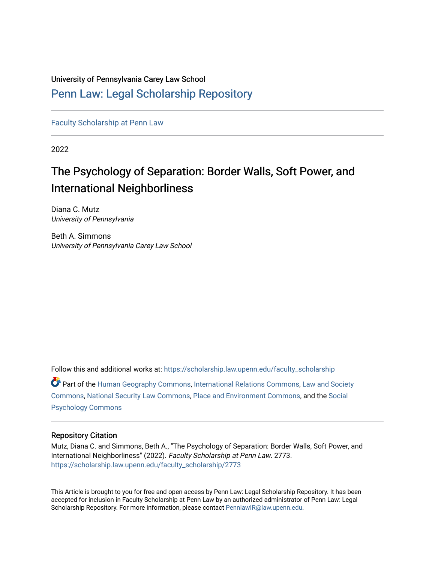### University of Pennsylvania Carey Law School

### [Penn Law: Legal Scholarship Repository](https://scholarship.law.upenn.edu/)

[Faculty Scholarship at Penn Law](https://scholarship.law.upenn.edu/faculty_scholarship)

2022

## The Psychology of Separation: Border Walls, Soft Power, and International Neighborliness

Diana C. Mutz University of Pennsylvania

Beth A. Simmons University of Pennsylvania Carey Law School

Follow this and additional works at: [https://scholarship.law.upenn.edu/faculty\\_scholarship](https://scholarship.law.upenn.edu/faculty_scholarship?utm_source=scholarship.law.upenn.edu%2Ffaculty_scholarship%2F2773&utm_medium=PDF&utm_campaign=PDFCoverPages)  Part of the [Human Geography Commons,](http://network.bepress.com/hgg/discipline/356?utm_source=scholarship.law.upenn.edu%2Ffaculty_scholarship%2F2773&utm_medium=PDF&utm_campaign=PDFCoverPages) [International Relations Commons](http://network.bepress.com/hgg/discipline/389?utm_source=scholarship.law.upenn.edu%2Ffaculty_scholarship%2F2773&utm_medium=PDF&utm_campaign=PDFCoverPages), [Law and Society](http://network.bepress.com/hgg/discipline/853?utm_source=scholarship.law.upenn.edu%2Ffaculty_scholarship%2F2773&utm_medium=PDF&utm_campaign=PDFCoverPages) [Commons](http://network.bepress.com/hgg/discipline/853?utm_source=scholarship.law.upenn.edu%2Ffaculty_scholarship%2F2773&utm_medium=PDF&utm_campaign=PDFCoverPages), [National Security Law Commons,](http://network.bepress.com/hgg/discipline/1114?utm_source=scholarship.law.upenn.edu%2Ffaculty_scholarship%2F2773&utm_medium=PDF&utm_campaign=PDFCoverPages) [Place and Environment Commons,](http://network.bepress.com/hgg/discipline/424?utm_source=scholarship.law.upenn.edu%2Ffaculty_scholarship%2F2773&utm_medium=PDF&utm_campaign=PDFCoverPages) and the [Social](http://network.bepress.com/hgg/discipline/414?utm_source=scholarship.law.upenn.edu%2Ffaculty_scholarship%2F2773&utm_medium=PDF&utm_campaign=PDFCoverPages)  [Psychology Commons](http://network.bepress.com/hgg/discipline/414?utm_source=scholarship.law.upenn.edu%2Ffaculty_scholarship%2F2773&utm_medium=PDF&utm_campaign=PDFCoverPages) 

#### Repository Citation

Mutz, Diana C. and Simmons, Beth A., "The Psychology of Separation: Border Walls, Soft Power, and International Neighborliness" (2022). Faculty Scholarship at Penn Law. 2773. [https://scholarship.law.upenn.edu/faculty\\_scholarship/2773](https://scholarship.law.upenn.edu/faculty_scholarship/2773?utm_source=scholarship.law.upenn.edu%2Ffaculty_scholarship%2F2773&utm_medium=PDF&utm_campaign=PDFCoverPages)

This Article is brought to you for free and open access by Penn Law: Legal Scholarship Repository. It has been accepted for inclusion in Faculty Scholarship at Penn Law by an authorized administrator of Penn Law: Legal Scholarship Repository. For more information, please contact [PennlawIR@law.upenn.edu.](mailto:PennlawIR@law.upenn.edu)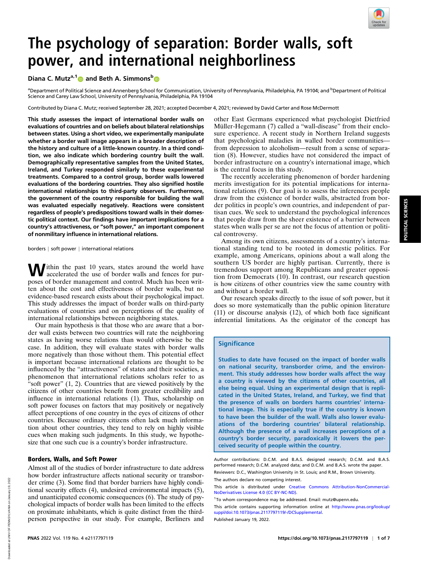

# The psychology of separation: Border walls, soft power, and international neighborliness

Diana C. Mutz<sup>a,1</sup> and Beth A. Simmons<sup>b</sup>

<sup>a</sup>Department of Political Science and Annenberg School for Communication, University of Pennsylvania, Philadelphia, PA 19104; and <sup>b</sup>Department of Political Science and Carey Law School, University of Pennsylvania, Philadelphia, PA 19104

Contributed by Diana C. Mutz; received September 28, 2021; accepted December 4, 2021; reviewed by David Carter and Rose McDermott

This study assesses the impact of international border walls on evaluations of countries and on beliefs about bilateral relationships between states. Using a short video, we experimentally manipulate whether a border wall image appears in a broader description of the history and culture of a little-known country. In a third condition, we also indicate which bordering country built the wall. Demographically representative samples from the United States, Ireland, and Turkey responded similarly to these experimental treatments. Compared to a control group, border walls lowered evaluations of the bordering countries. They also signified hostile international relationships to third-party observers. Furthermore, the government of the country responsible for building the wall was evaluated especially negatively. Reactions were consistent regardless of people's predispositions toward walls in their domestic political context. Our findings have important implications for a country's attractiveness, or "soft power," an important component of nonmilitary influence in international relations.

borders | soft power | international relations

Ithin the past 10 years, states around the world have accelerated the use of border walls and fences for purposes of border management and control. Much has been written about the cost and effectiveness of border walls, but no evidence-based research exists about their psychological impact. This study addresses the impact of border walls on third-party evaluations of countries and on perceptions of the quality of international relationships between neighboring states.

Our main hypothesis is that those who are aware that a border wall exists between two countries will rate the neighboring states as having worse relations than would otherwise be the case. In addition, they will evaluate states with border walls more negatively than those without them. This potential effect is important because international relations are thought to be influenced by the "attractiveness" of states and their societies, a phenomenon that international relations scholars refer to as "soft power" (1, 2). Countries that are viewed positively by the citizens of other countries benefit from greater credibility and influence in international relations (1). Thus, scholarship on soft power focuses on factors that may positively or negatively affect perceptions of one country in the eyes of citizens of other countries. Because ordinary citizens often lack much information about other countries, they tend to rely on highly visible cues when making such judgments. In this study, we hypothesize that one such cue is a country's border infrastructure.

#### Borders, Walls, and Soft Power

Almost all of the studies of border infrastructure to date address how border infrastructure affects national security or transborder crime (3). Some find that border barriers have highly conditional security effects (4), undesired environmental impacts (5), and unanticipated economic consequences (6). The study of psychological impacts of border walls has been limited to the effects on proximate inhabitants, which is quite distinct from the thirdperson perspective in our study. For example, Berliners and

other East Germans experienced what psychologist Dietfried Müller-Hegemann (7) called a "wall-disease" from their enclosure experience. A recent study in Northern Ireland suggests that psychological maladies in walled border communities from depression to alcoholism—result from a sense of separation (8). However, studies have not considered the impact of border infrastructure on a country's international image, which is the central focus in this study.

The recently accelerating phenomenon of border hardening merits investigation for its potential implications for international relations (9). Our goal is to assess the inferences people draw from the existence of border walls, abstracted from border politics in people's own countries, and independent of partisan cues. We seek to understand the psychological inferences that people draw from the sheer existence of a barrier between states when walls per se are not the focus of attention or political controversy.

Among its own citizens, assessments of a country's international standing tend to be rooted in domestic politics. For example, among Americans, opinions about a wall along the southern US border are highly partisan. Currently, there is tremendous support among Republicans and greater opposition from Democrats (10). In contrast, our research question is how citizens of other countries view the same country with and without a border wall.

Our research speaks directly to the issue of soft power, but it does so more systematically than the public opinion literature (11) or discourse analysis (12), of which both face significant inferential limitations. As the originator of the concept has

#### **Significance**

Studies to date have focused on the impact of border walls on national security, transborder crime, and the environment. This study addresses how border walls affect the way a country is viewed by the citizens of other countries, all else being equal. Using an experimental design that is replicated in the United States, Ireland, and Turkey, we find that the presence of walls on borders harms countries' international image. This is especially true if the country is known to have been the builder of the wall. Walls also lower evaluations of the bordering countries' bilateral relationship. Although the presence of a wall increases perceptions of a country's border security, paradoxically it lowers the perceived security of people within the country.

Author contributions: D.C.M. and B.A.S. designed research; D.C.M. and B.A.S. performed research; D.C.M. analyzed data; and D.C.M. and B.A.S. wrote the paper. Reviewers: D.C., Washington University in St. Louis; and R.M., Brown University. The authors declare no competing interest.

This article is distributed under [Creative Commons Attribution-NonCommercial-](https://creativecommons.org/licenses/by-nc-nd/4.0/)[NoDerivatives License 4.0 \(CC BY-NC-ND\).](https://creativecommons.org/licenses/by-nc-nd/4.0/)

1To whom correspondence may be addressed. Email: [mutz@upenn.edu.](mailto:mutz@upenn.edu)

This article contains supporting information online at [http://www.pnas.org/lookup/](http://www.pnas.org/lookup/suppl/doi:10.1073/pnas.2117797119/-/DCSupplemental) [suppl/doi:10.1073/pnas.2117797119/-/DCSupplemental.](http://www.pnas.org/lookup/suppl/doi:10.1073/pnas.2117797119/-/DCSupplemental)

Published January 19, 2022.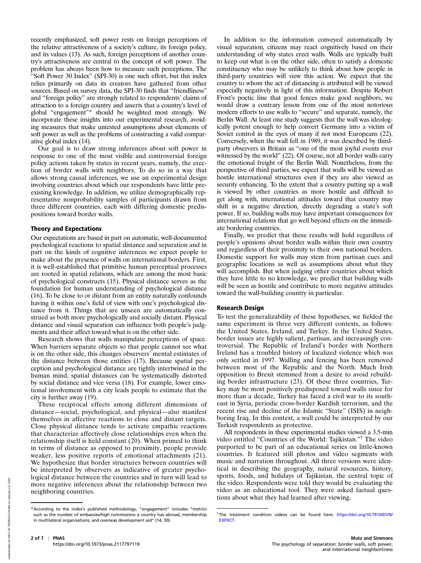recently emphasized, soft power rests on foreign perceptions of the relative attractiveness of a society's culture, its foreign policy, and its values (13). As such, foreign perceptions of another country's attractiveness are central to the concept of soft power. The problem has always been how to measure such perceptions. The "Soft Power 30 Index" (SPI-30) is one such effort, but this index relies primarily on data its creators have gathered from other sources. Based on survey data, the SPI-30 finds that "friendliness" and "foreign policy" are strongly related to respondents' claims of attraction to a foreign country and asserts that a country's level of global "engagement"\* should be weighted most strongly. We incorporate these insights into our experimental research, avoiding measures that make untested assumptions about elements of soft power as well as the problems of constructing a valid comparative global index (14).

Our goal is to draw strong inferences about soft power in response to one of the most visible and controversial foreign policy actions taken by states in recent years, namely, the erection of border walls with neighbors. To do so in a way that allows strong causal inferences, we use an experimental design involving countries about which our respondents have little preexisting knowledge. In addition, we utilize demographically representative nonprobability samples of participants drawn from three different countries, each with differing domestic predispositions toward border walls.

#### Theory and Expectations

Our expectations are based in part on automatic, well-documented psychological reactions to spatial distance and separation and in part on the kinds of cognitive inferences we expect people to make about the presence of walls on international borders. First, it is well-established that primitive human perceptual processes are rooted in spatial relations, which are among the most basic of psychological constructs (15). Physical distance serves as the foundation for human understanding of psychological distance (16). To be close to or distant from an entity naturally confounds having it within one's field of view with one's psychological distance from it. Things that are unseen are automatically construed as both more psychologically and socially distant. Physical distance and visual separation can influence both people's judgments and their affect toward what is on the other side.

Research shows that walls manipulate perceptions of space. When barriers separate objects so that people cannot see what is on the other side, this changes observers' mental estimates of the distance between those entities (17). Because spatial perception and psychological distance are tightly intertwined in the human mind, spatial distances can be systematically distorted by social distance and vice versa (18). For example, lower emotional involvement with a city leads people to estimate that the city is further away (19).

These reciprocal effects among different dimensions of distance—social, psychological, and physical—also manifest themselves in affective reactions to close and distant targets. Close physical distance tends to activate empathic reactions that characterize affectively close relationships even when the relationship itself is held constant (20). When primed to think in terms of distance as opposed to proximity, people provide weaker, less positive reports of emotional attachments (21). We hypothesize that border structures between countries will be interpreted by observers as indicative of greater psychological distance between the countries and in turn will lead to more negative inferences about the relationship between two neighboring countries.

In addition to the information conveyed automatically by visual separation, citizens may react cognitively based on their understanding of why states erect walls. Walls are typically built to keep out what is on the other side, often to satisfy a domestic constituency who may be unlikely to think about how people in third-party countries will view this action. We expect that the country to whom the act of distancing is attributed will be viewed especially negatively in light of this information. Despite Robert Frost's poetic line that good fences make good neighbors, we would draw a contrary lesson from one of the most notorious modern efforts to use walls to "secure" and separate, namely, the Berlin Wall. At least one study suggests that the wall was ideologically potent enough to help convert Germany into a victim of Soviet control in the eyes of many if not most Europeans (22). Conversely, when the wall fell in 1989, it was described by thirdparty observers in Britain as "one of the most joyful events ever witnessed by the world" (22). Of course, not all border walls carry the emotional freight of the Berlin Wall. Nonetheless, from the perspective of third parties, we expect that walls will be viewed as hostile international structures even if they are also viewed as security enhancing. To the extent that a country putting up a wall is viewed by other countries as more hostile and difficult to get along with, international attitudes toward that country may shift in a negative direction, directly degrading a state's soft power. If so, building walls may have important consequences for international relations that go well beyond effects on the immediate bordering countries.

Finally, we predict that these results will hold regardless of people's opinions about border walls within their own country and regardless of their proximity to their own national borders. Domestic support for walls may stem from partisan cues and geographic locations as well as assumptions about what they will accomplish. But when judging other countries about which they have little to no knowledge, we predict that building walls will be seen as hostile and contribute to more negative attitudes toward the wall-building country in particular.

#### Research Design

To test the generalizability of these hypotheses, we fielded the same experiment in three very different contexts, as follows: the United States, Ireland, and Turkey. In the United States, border issues are highly salient, partisan, and increasingly controversial. The Republic of Ireland's border with Northern Ireland has a troubled history of localized violence which was only settled in 1997. Walling and fencing has been removed between most of the Republic and the North. Much Irish opposition to Brexit stemmed from a desire to avoid rebuilding border infrastructure (23). Of these three countries, Turkey may be most positively predisposed toward walls since for more than a decade, Turkey has faced a civil war to its southeast in Syria, periodic cross-border Kurdish terrorism, and the recent rise and decline of the Islamic "State" (ISIS) in neighboring Iraq. In this context, a wall could be interpreted by our Turkish respondents as protective.

All respondents in these experimental studies viewed a 3.5-min video entitled "Countries of the World: Tajikistan."† The video purported to be part of an educational series on little-known countries. It featured still photos and video segments with music and narration throughout. All three versions were identical in describing the geography, natural resources, history, sports, foods, and holidays of Tajikistan, the central topic of the video. Respondents were told they would be evaluating the video as an educational tool. They were asked factual questions about what they had learned after viewing.

<sup>\*</sup>According to the index's published methodology, "engagement" includes "metrics such as the number of embassies/high commissions a country has abroad, membership in multilateral organisations, and overseas development aid" (14, 30).

<sup>&</sup>lt;sup>†</sup>The treatment condition videos can be found here: [https://doi.org/10.7910/DVN/](https://doi.org/10.7910/DVN/EXPXCT) [EXPXCT.](https://doi.org/10.7910/DVN/EXPXCT)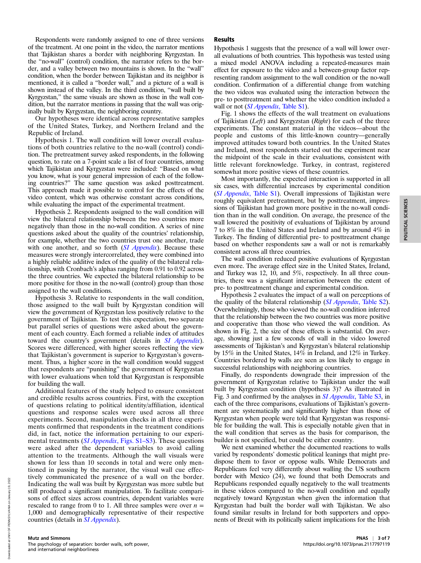Respondents were randomly assigned to one of three versions of the treatment. At one point in the video, the narrator mentions that Tajikistan shares a border with neighboring Kyrgyzstan. In the "no-wall" (control) condition, the narrator refers to the border, and a valley between two mountains is shown. In the "wall" condition, when the border between Tajikistan and its neighbor is mentioned, it is called a "border wall," and a picture of a wall is shown instead of the valley. In the third condition, "wall built by Kyrgyzstan," the same visuals are shown as those in the wall condition, but the narrator mentions in passing that the wall was originally built by Kyrgyzstan, the neighboring country.

Our hypotheses were identical across representative samples of the United States, Turkey, and Northern Ireland and the Republic of Ireland.

Hypothesis 1. The wall condition will lower overall evaluations of both countries relative to the no-wall (control) condition. The pretreatment survey asked respondents, in the following question, to rate on a 7-point scale a list of four countries, among which Tajikistan and Kyrgyzstan were included: "Based on what you know, what is your general impression of each of the following countries?" The same question was asked posttreatment. This approach made it possible to control for the effects of the video content, which was otherwise constant across conditions, while evaluating the impact of the experimental treatment.

Hypothesis 2. Respondents assigned to the wall condition will view the bilateral relationship between the two countries more negatively than those in the no-wall condition. A series of nine questions asked about the quality of the countries' relationship, for example, whether the two countries trust one another, trade with one another, and so forth  $(SI$  *Appendix*). Because these measures were strongly intercorrelated, they were combined into a highly reliable additive index of the quality of the bilateral relationship, with Cronbach's alphas ranging from 0.91 to 0.92 across the three countries. We expected the bilateral relationship to be more positive for those in the no-wall (control) group than those assigned to the wall conditions.

Hypothesis 3. Relative to respondents in the wall condition, those assigned to the wall built by Kyrgyzstan condition will view the government of Kyrgyzstan less positively relative to the government of Tajikistan. To test this expectation, two separate but parallel series of questions were asked about the government of each country. Each formed a reliable index of attitudes toward the country's government (details in *[SI Appendix](http://www.pnas.org/lookup/suppl/doi:10.1073/pnas.2117797119/-/DCSupplemental)*). Scores were differenced, with higher scores reflecting the view that Tajikistan's government is superior to Kyrgyzstan's government. Thus, a higher score in the wall condition would suggest that respondents are "punishing" the government of Kyrgyzstan with lower evaluations when told that Kyrgyzstan is responsible for building the wall.

Additional features of the study helped to ensure consistent and credible results across countries. First, with the exception of questions relating to political identity/affiliation, identical questions and response scales were used across all three experiments. Second, manipulation checks in all three experiments confirmed that respondents in the treatment conditions did, in fact, notice the information pertaining to our experimental treatments (*SI Appendix*[, Figs. S1–S3](http://www.pnas.org/lookup/suppl/doi:10.1073/pnas.2117797119/-/DCSupplemental)). These questions were asked after the dependent variables to avoid calling attention to the treatments. Although the wall visuals were shown for less than 10 seconds in total and were only mentioned in passing by the narrator, the visual wall cue effectively communicated the presence of a wall on the border. Indicating the wall was built by Kyrgyzstan was more subtle but still produced a significant manipulation. To facilitate comparisons of effect sizes across countries, dependent variables were rescaled to range from 0 to 1. All three samples were over  $n =$ 1,000 and demographically representative of their respective countries (details in *[SI Appendix](http://www.pnas.org/lookup/suppl/doi:10.1073/pnas.2117797119/-/DCSupplemental)*).

#### Results

Hypothesis 1 suggests that the presence of a wall will lower overall evaluations of both countries. This hypothesis was tested using a mixed model ANOVA including a repeated-measures main effect for exposure to the video and a between-group factor representing random assignment to the wall condition or the no-wall condition. Confirmation of a differential change from watching the two videos was evaluated using the interaction between the pre- to posttreatment and whether the video condition included a wall or not *([SI Appendix](http://www.pnas.org/lookup/suppl/doi:10.1073/pnas.2117797119/-/DCSupplemental), Table S1)*.

Fig. 1 shows the effects of the wall treatment on evaluations of Tajikistan (Left) and Kyrgyzstan (Right) for each of the three experiments. The constant material in the videos—about the people and customs of this little-known country—generally improved attitudes toward both countries. In the United States and Ireland, most respondents started out the experiment near the midpoint of the scale in their evaluations, consistent with little relevant foreknowledge. Turkey, in contrast, registered somewhat more positive views of these countries.

Most importantly, the expected interaction is supported in all six cases, with differential increases by experimental condition ([SI Appendix](http://www.pnas.org/lookup/suppl/doi:10.1073/pnas.2117797119/-/DCSupplemental), Table S1). Overall impressions of Tajikistan were roughly equivalent pretreatment, but by posttreatment, impressions of Tajikistan had grown more positive in the no-wall condition than in the wall condition. On average, the presence of the wall lowered the positivity of evaluations of Tajikistan by around 7 to 8% in the United States and Ireland and by around 4% in Turkey. The finding of differential pre- to posttreatment change based on whether respondents saw a wall or not is remarkably consistent across all three countries.

The wall condition reduced positive evaluations of Kyrgyzstan even more. The average effect size in the United States, Ireland, and Turkey was 12, 10, and 5%, respectively. In all three countries, there was a significant interaction between the extent of pre- to posttreatment change and experimental condition.

Hypothesis 2 evaluates the impact of a wall on perceptions of the quality of the bilateral relationship ([SI Appendix](http://www.pnas.org/lookup/suppl/doi:10.1073/pnas.2117797119/-/DCSupplemental), Table S2). Overwhelmingly, those who viewed the no-wall condition inferred that the relationship between the two countries was more positive and cooperative than those who viewed the wall condition. As shown in Fig. 2, the size of these effects is substantial. On average, showing just a few seconds of wall in the video lowered assessments of Tajikistan's and Kyrgyzstan's bilateral relationship by 15% in the United States, 14% in Ireland, and 12% in Turkey. Countries bordered by walls are seen as less likely to engage in successful relationships with neighboring countries.

Finally, do respondents downgrade their impression of the government of Kyrgyzstan relative to Tajikistan under the wall built by Kyrgyzstan condition (hypothesis 3)? As illustrated in Fig. 3 and confirmed by the analyses in [SI Appendix](http://www.pnas.org/lookup/suppl/doi:10.1073/pnas.2117797119/-/DCSupplemental), Table S3, in each of the three comparisons, evaluations of Tajikistan's government are systematically and significantly higher than those of Kyrgyzstan when people were told that Kyrgyzstan was responsible for building the wall. This is especially notable given that in the wall condition that serves as the basis for comparison, the builder is not specified, but could be either country.

We next examined whether the documented reactions to walls varied by respondents' domestic political leanings that might predispose them to favor or oppose walls. While Democrats and Republicans feel very differently about walling the US southern border with Mexico (24), we found that both Democrats and Republicans responded equally negatively to the wall treatments in these videos compared to the no-wall condition and equally negatively toward Kyrgyzstan when given the information that Kyrgyzstan had built the border wall with Tajikistan. We also found similar results in Ireland for both supporters and opponents of Brexit with its politically salient implications for the Irish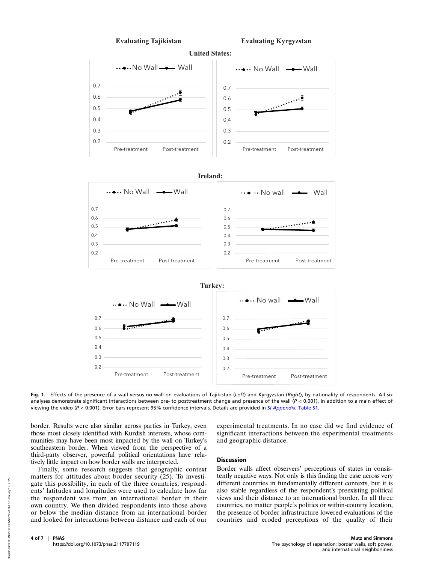

Fig. 1. Effects of the presence of a wall versus no wall on evaluations of Tajikistan (Left) and Kyrgyzstan (Right), by nationality of respondents. All six analyses demonstrate significant interactions between pre- to posttreatment change and presence of the wall ( $P < 0.001$ ), in addition to a main effect of viewing the video (P < 0.001). Error bars represent 95% confidence intervals. Details are provided in [SI Appendix](http://www.pnas.org/lookup/suppl/doi:10.1073/pnas.2117797119/-/DCSupplemental), Table S1.

border. Results were also similar across parties in Turkey, even those most closely identified with Kurdish interests, whose communities may have been most impacted by the wall on Turkey's southeastern border. When viewed from the perspective of a third-party observer, powerful political orientations have relatively little impact on how border walls are interpreted.

Finally, some research suggests that geographic context matters for attitudes about border security (25). To investigate this possibility, in each of the three countries, respondents' latitudes and longitudes were used to calculate how far the respondent was from an international border in their own country. We then divided respondents into those above or below the median distance from an international border and looked for interactions between distance and each of our experimental treatments. In no case did we find evidence of significant interactions between the experimental treatments and geographic distance.

#### Discussion

Border walls affect observers' perceptions of states in consistently negative ways. Not only is this finding the case across very different countries in fundamentally different contexts, but it is also stable regardless of the respondent's preexisting political views and their distance to an international border. In all three countries, no matter people's politics or within-country location, the presence of border infrastructure lowered evaluations of the countries and eroded perceptions of the quality of their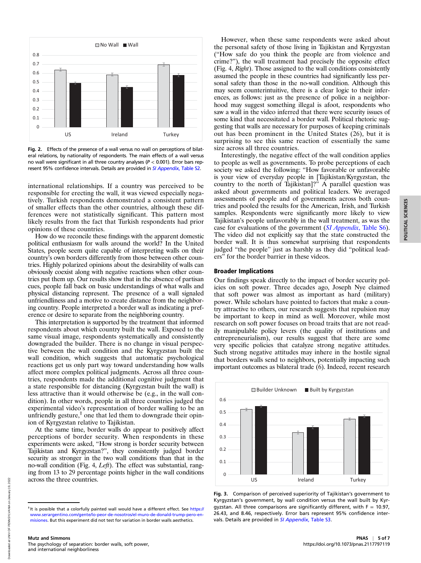

Fig. 2. Effects of the presence of a wall versus no wall on perceptions of bilateral relations, by nationality of respondents. The main effects of a wall versus no wall were significant in all three country analyses ( $P < 0.001$ ). Error bars rep-resent 95% confidence intervals. Details are provided in [SI Appendix](http://www.pnas.org/lookup/suppl/doi:10.1073/pnas.2117797119/-/DCSupplemental), Table S2.

international relationships. If a country was perceived to be responsible for erecting the wall, it was viewed especially negatively. Turkish respondents demonstrated a consistent pattern of smaller effects than the other countries, although these differences were not statistically significant. This pattern most likely results from the fact that Turkish respondents had prior opinions of these countries.

How do we reconcile these findings with the apparent domestic political enthusiasm for walls around the world? In the United States, people seem quite capable of interpreting walls on their country's own borders differently from those between other countries. Highly polarized opinions about the desirability of walls can obviously coexist along with negative reactions when other countries put them up. Our results show that in the absence of partisan cues, people fall back on basic understandings of what walls and physical distancing represent. The presence of a wall signaled unfriendliness and a motive to create distance from the neighboring country. People interpreted a border wall as indicating a preference or desire to separate from the neighboring country.

This interpretation is supported by the treatment that informed respondents about which country built the wall. Exposed to the same visual image, respondents systematically and consistently downgraded the builder. There is no change in visual perspective between the wall condition and the Kyrgyzstan built the wall condition, which suggests that automatic psychological reactions get us only part way toward understanding how walls affect more complex political judgments. Across all three countries, respondents made the additional cognitive judgment that a state responsible for distancing (Kyrgyzstan built the wall) is less attractive than it would otherwise be (e.g., in the wall condition). In other words, people in all three countries judged the experimental video's representation of border walling to be an unfriendly gesture, $\ddot{\tilde{}}$  one that led them to downgrade their opinion of Kyrgyzstan relative to Tajikistan.

At the same time, border walls do appear to positively affect perceptions of border security. When respondents in these experiments were asked, "How strong is border security between Tajikistan and Kyrgyzstan?", they consistently judged border security as stronger in the two wall conditions than that in the no-wall condition (Fig. 4, Left). The effect was substantial, ranging from 13 to 29 percentage points higher in the wall conditions across the three countries.

However, when these same respondents were asked about the personal safety of those living in Tajikistan and Kyrgyzstan ("How safe do you think the people are from violence and crime?"), the wall treatment had precisely the opposite effect (Fig. 4, Right). Those assigned to the wall conditions consistently assumed the people in these countries had significantly less personal safety than those in the no-wall condition. Although this may seem counterintuitive, there is a clear logic to their inferences, as follows: just as the presence of police in a neighborhood may suggest something illegal is afoot, respondents who saw a wall in the video inferred that there were security issues of some kind that necessitated a border wall. Political rhetoric suggesting that walls are necessary for purposes of keeping criminals out has been prominent in the United States (26), but it is surprising to see this same reaction of essentially the same size across all three countries.

Interestingly, the negative effect of the wall condition applies to people as well as governments. To probe perceptions of each society we asked the following: "How favorable or unfavorable is your view of everyday people in [Tajikistan/Kyrgyzstan, the country to the north of Tajikistan]?" A parallel question was asked about governments and political leaders. We averaged assessments of people and of governments across both countries and pooled the results for the American, Irish, and Turkish samples. Respondents were significantly more likely to view Tajikistan's people unfavorably in the wall treatment, as was the case for evaluations of the government ([SI Appendix](http://www.pnas.org/lookup/suppl/doi:10.1073/pnas.2117797119/-/DCSupplemental), Table S6). The video did not explicitly say that the state constructed the border wall. It is thus somewhat surprising that respondents judged "the people" just as harshly as they did "political leaders" for the border barrier in these videos.

#### Broader Implications

Our findings speak directly to the impact of border security policies on soft power. Three decades ago, Joseph Nye claimed that soft power was almost as important as hard (military) power. While scholars have pointed to factors that make a country attractive to others, our research suggests that repulsion may be important to keep in mind as well. Moreover, while most research on soft power focuses on broad traits that are not readily manipulable policy levers (the quality of institutions and entrepreneurialism), our results suggest that there are some very specific policies that catalyze strong negative attitudes. Such strong negative attitudes may inhere in the hostile signal that borders walls send to neighbors, potentially impacting such important outcomes as bilateral trade (6). Indeed, recent research



Fig. 3. Comparison of perceived superiority of Tajikistan's government to Kyrgyzstan's government, by wall condition versus the wall built by Kyrgyzstan. All three comparisons are significantly different, with  $F = 10.97$ , 26.43, and 8.46, respectively. Error bars represent 95% confidence inter-vals. Details are provided in [SI Appendix](http://www.pnas.org/lookup/suppl/doi:10.1073/pnas.2117797119/-/DCSupplemental), Table S3.

<sup>&</sup>lt;sup>‡</sup>It is possible that a colorfully painted wall would have a different effect. See [https://](https://www.serargentino.com/gente/lo-peor-de-nosotros/el-muro-de-donald-trump-pero-en-misiones) [www.serargentino.com/gente/lo-peor-de-nosotros/el-muro-de-donald-trump-pero-en](https://www.serargentino.com/gente/lo-peor-de-nosotros/el-muro-de-donald-trump-pero-en-misiones)[misiones.](https://www.serargentino.com/gente/lo-peor-de-nosotros/el-muro-de-donald-trump-pero-en-misiones) But this experiment did not test for variation in border walls aesthetics.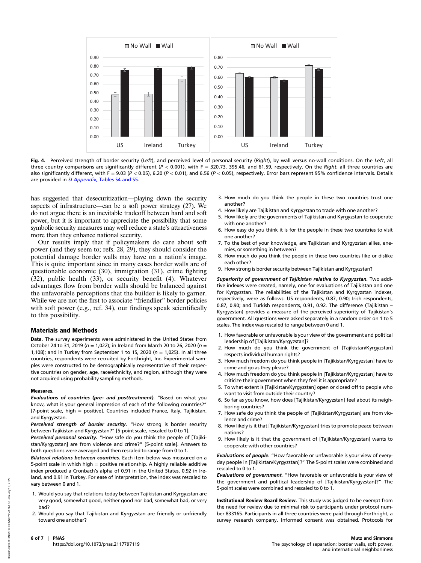

Fig. 4. Perceived strength of border security (Left), and perceived level of personal security (Right), by wall versus no-wall conditions. On the Left, all three country comparisons are significantly different ( $P < 0.001$ ), with  $F = 320.73$ , 395.46, and 61.59, respectively. On the Right, all three countries are also significantly different, with F = 9.03 (P < 0.05), 6.20 (P < 0.01), and 6.56 (P < 0.05), respectively. Error bars represent 95% confidence intervals. Details are provided in SI Appendix[, Tables S4 and S5.](http://www.pnas.org/lookup/suppl/doi:10.1073/pnas.2117797119/-/DCSupplemental)

has suggested that desecuritization—playing down the security aspects of infrastructure—can be a soft power strategy (27). We do not argue there is an inevitable tradeoff between hard and soft power, but it is important to appreciate the possibility that some symbolic security measures may well reduce a state's attractiveness more than they enhance national security.

Our results imply that if policymakers do care about soft power (and they seem to; refs. 28, 29), they should consider the potential damage border walls may have on a nation's image. This is quite important since in many cases border walls are of questionable economic (30), immigration (31), crime fighting (32), public health (33), or security benefit (4). Whatever advantages flow from border walls should be balanced against the unfavorable perceptions that the builder is likely to garner. While we are not the first to associate "friendlier" border policies with soft power (e.g., ref. 34), our findings speak scientifically to this possibility.

#### Materials and Methods

Data. The survey experiments were administered in the United States from October 24 to 31, 2019 ( $n = 1.022$ ); in Ireland from March 20 to 26, 2020 ( $n =$ 1,108); and in Turkey from September 1 to 15, 2020 ( $n = 1,025$ ). In all three countries, respondents were recruited by Forthright, Inc. Experimental samples were constructed to be demographically representative of their respective countries on gender, age, race/ethnicity, and region, although they were not acquired using probability sampling methods.

#### Measures.

Evaluations of countries (pre- and posttreatment). "Based on what you know, what is your general impression of each of the following countries?" [7-point scale, high = positive]. Countries included France, Italy, Tajikistan, and Kyrgyzstan.

Perceived strength of border security. "How strong is border security between Tajikistan and Kyrgyzstan?" [5-point scale, rescaled to 0 to 1].

Perceived personal security. "How safe do you think the people of [Tajikistan/Kyrgyzstan] are from violence and crime?" [5-point scale]. Answers to both questions were averaged and then rescaled to range from 0 to 1.

Bilateral relations between countries. Each item below was measured on a 5-point scale in which high  $=$  positive relationship. A highly reliable additive index produced a Cronbach's alpha of 0.91 in the United States, 0.92 in Ireland, and 0.91 in Turkey. For ease of interpretation, the index was rescaled to vary between 0 and 1.

- 1. Would you say that relations today between Tajikistan and Kyrgyzstan are very good, somewhat good, neither good nor bad, somewhat bad, or very bad?
- 2. Would you say that Tajikistan and Kyrgyzstan are friendly or unfriendly toward one another?
- 3. How much do you think the people in these two countries trust one another?
- 4. How likely are Tajikistan and Kyrgyzstan to trade with one another?
- 5. How likely are the governments of Tajikistan and Kyrgyzstan to cooperate
- with one another? 6. How easy do you think it is for the people in these two countries to visit one another?
- 7. To the best of your knowledge, are Tajikistan and Kyrgyzstan allies, enemies, or something in between?
- 8. How much do you think the people in these two countries like or dislike each other?
- 9. How strong is border security between Tajikistan and Kyrgyzstan?

Superiority of government of Tajikistan relative to Kyrgyzstan. Two additive indexes were created, namely, one for evaluations of Tajikistan and one for Kyrgyzstan. The reliabilities of the Tajikistan and Kyrgyzstan indexes, respectively, were as follows: US respondents, 0.87, 0.90; Irish respondents, 0.87, 0.90; and Turkish respondents, 0.91, 0.92. The difference (Tajikistan – Kyrgyzstan) provides a measure of the perceived superiority of Tajikistan's government. All questions were asked separately in a random order on 1 to 5 scales. The index was rescaled to range between 0 and 1.

- 1. How favorable or unfavorable is your view of the government and political leadership of [Tajikistan/Kyrgyzstan]?
- 2. How much do you think the government of [Tajikistan/Kyrgyzstan] respects individual human rights?
- 3. How much freedom do you think people in [Tajikistan/Kyrgyzstan] have to come and go as they please?
- 4. How much freedom do you think people in [Tajikistan/Kyrgyzstan] have to criticize their government when they feel it is appropriate?
- 5. To what extent is [Tajikistan/Kyrgyzstan] open or closed off to people who want to visit from outside their country?
- 6. So far as you know, how does [Tajikistan/Kyrgyzstan] feel about its neighboring countries?
- 7. How safe do you think the people of [Tajikistan/Kyrgyzstan] are from violence and crime?
- 8. How likely is it that [Tajikistan/Kyrgyzstan] tries to promote peace between nations?
- 9. How likely is it that the government of [Tajikistan/Kyrgyzstan] wants to cooperate with other countries?

Evaluations of people. "How favorable or unfavorable is your view of everyday people in [Tajikistan/Kyrgyzstan]?" The 5-point scales were combined and rescaled to 0 to 1.

Evaluations of government. "How favorable or unfavorable is your view of the government and political leadership of [Tajikistan/Kyrgyzstan]?" The 5-point scales were combined and rescaled to 0 to 1.

Institutional Review Board Review. This study was judged to be exempt from the need for review due to minimal risk to participants under protocol number 833165. Participants in all three countries were paid through Forthright, a survey research company. Informed consent was obtained. Protocols for